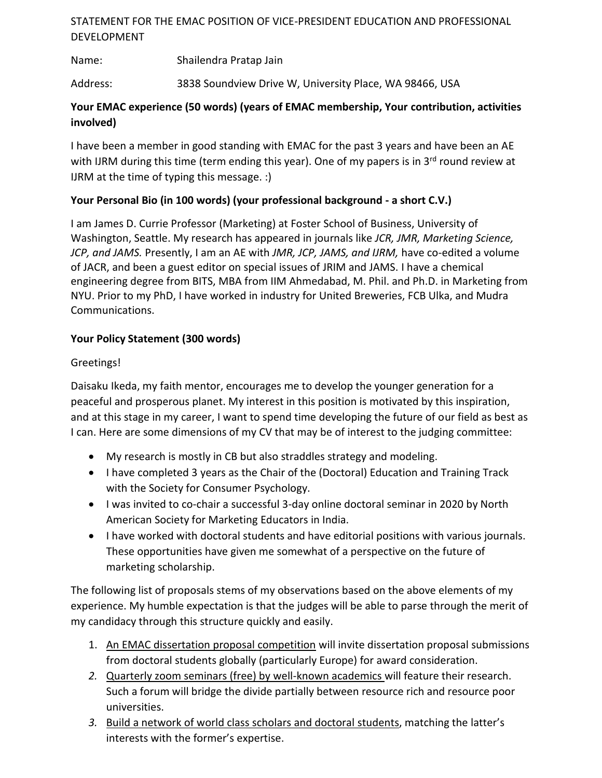# STATEMENT FOR THE EMAC POSITION OF VICE-PRESIDENT EDUCATION AND PROFESSIONAL DEVELOPMENT

Name: Shailendra Pratap Jain

Address: 3838 Soundview Drive W, University Place, WA 98466, USA

# **Your EMAC experience (50 words) (years of EMAC membership, Your contribution, activities involved)**

I have been a member in good standing with EMAC for the past 3 years and have been an AE with IJRM during this time (term ending this year). One of my papers is in  $3<sup>rd</sup>$  round review at IJRM at the time of typing this message. :)

### **Your Personal Bio (in 100 words) (your professional background - a short C.V.)**

I am James D. Currie Professor (Marketing) at Foster School of Business, University of Washington, Seattle. My research has appeared in journals like *JCR, JMR, Marketing Science, JCP, and JAMS.* Presently, I am an AE with *JMR, JCP, JAMS, and IJRM,* have co-edited a volume of JACR, and been a guest editor on special issues of JRIM and JAMS. I have a chemical engineering degree from BITS, MBA from IIM Ahmedabad, M. Phil. and Ph.D. in Marketing from NYU. Prior to my PhD, I have worked in industry for United Breweries, FCB Ulka, and Mudra Communications.

### **Your Policy Statement (300 words)**

#### Greetings!

Daisaku Ikeda, my faith mentor, encourages me to develop the younger generation for a peaceful and prosperous planet. My interest in this position is motivated by this inspiration, and at this stage in my career, I want to spend time developing the future of our field as best as I can. Here are some dimensions of my CV that may be of interest to the judging committee:

- My research is mostly in CB but also straddles strategy and modeling.
- I have completed 3 years as the Chair of the (Doctoral) Education and Training Track with the Society for Consumer Psychology.
- I was invited to co-chair a successful 3-day online doctoral seminar in 2020 by North American Society for Marketing Educators in India.
- I have worked with doctoral students and have editorial positions with various journals. These opportunities have given me somewhat of a perspective on the future of marketing scholarship.

The following list of proposals stems of my observations based on the above elements of my experience. My humble expectation is that the judges will be able to parse through the merit of my candidacy through this structure quickly and easily.

- 1. An EMAC dissertation proposal competition will invite dissertation proposal submissions from doctoral students globally (particularly Europe) for award consideration.
- *2.* Quarterly zoom seminars (free) by well-known academics will feature their research. Such a forum will bridge the divide partially between resource rich and resource poor universities.
- *3.* Build a network of world class scholars and doctoral students, matching the latter's interests with the former's expertise.